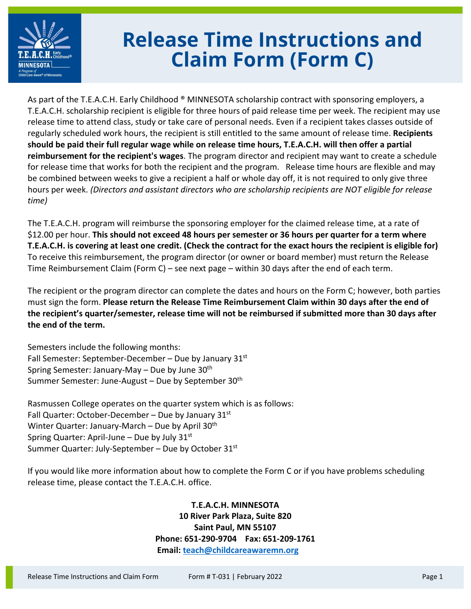

## **Release Time Instructions and Claim Form (Form C)**

As part of the T.E.A.C.H. Early Childhood ® MINNESOTA scholarship contract with sponsoring employers, a T.E.A.C.H. scholarship recipient is eligible for three hours of paid release time per week. The recipient may use release time to attend class, study or take care of personal needs. Even if a recipient takes classes outside of regularly scheduled work hours, the recipient is still entitled to the same amount of release time. **Recipients should be paid their full regular wage while on release time hours, T.E.A.C.H. will then offer a partial reimbursement for the recipient's wages**. The program director and recipient may want to create a schedule for release time that works for both the recipient and the program. Release time hours are flexible and may be combined between weeks to give a recipient a half or whole day off, it is not required to only give three hours per week. *(Directors and assistant directors who are scholarship recipients are NOT eligible for release time)*

The T.E.A.C.H. program will reimburse the sponsoring employer for the claimed release time, at a rate of \$12.00 per hour. **This should not exceed 48 hours per semester or 36 hours per quarter for a term where T.E.A.C.H. is covering at least one credit. (Check the contract for the exact hours the recipient is eligible for)** To receive this reimbursement, the program director (or owner or board member) must return the Release Time Reimbursement Claim (Form C) – see next page – within 30 days after the end of each term.

The recipient or the program director can complete the dates and hours on the Form C; however, both parties must sign the form. **Please return the Release Time Reimbursement Claim within 30 days after the end of the recipient's quarter/semester, release time will not be reimbursed if submitted more than 30 days after the end of the term.**

Semesters include the following months: Fall Semester: September-December – Due by January  $31<sup>st</sup>$ Spring Semester: January-May – Due by June  $30<sup>th</sup>$ Summer Semester: June-August – Due by September 30<sup>th</sup>

Rasmussen College operates on the quarter system which is as follows: Fall Quarter: October-December – Due by January  $31<sup>st</sup>$ Winter Quarter: January-March – Due by April 30<sup>th</sup> Spring Quarter: April-June – Due by July  $31<sup>st</sup>$ Summer Quarter: July-September – Due by October  $31<sup>st</sup>$ 

If you would like more information about how to complete the Form C or if you have problems scheduling release time, please contact the T.E.A.C.H. office.

> **T.E.A.C.H. MINNESOTA 10 River Park Plaza, Suite 820 Saint Paul, MN 55107 Phone: 651-290-9704 Fax: 651-209-1761 Email: [teach@childcareawaremn.org](mailto:teach@childcareawaremn.org)**